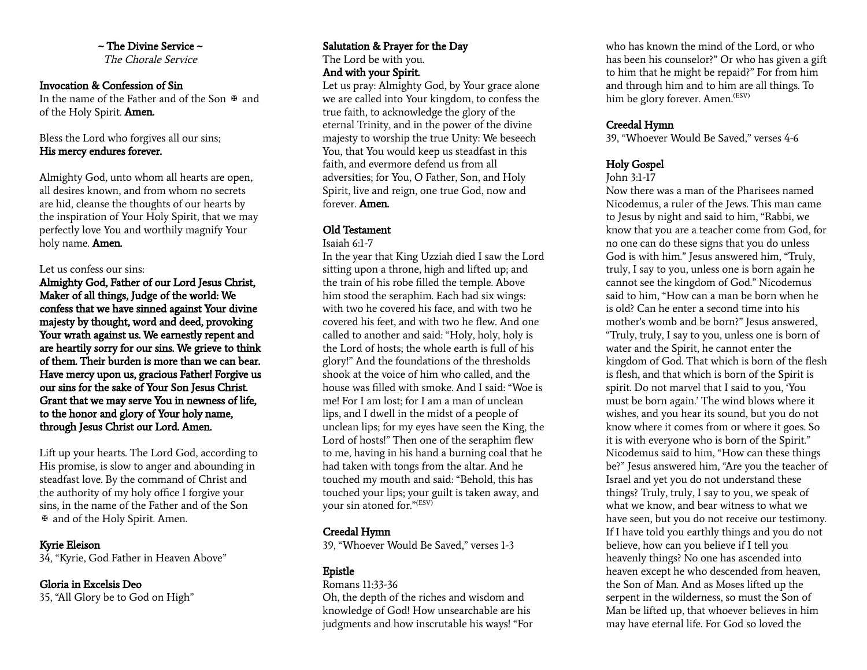#### $\sim$  The Divine Service  $\sim$ The Chorale Service

#### Invocation & Confession of Sin

In the name of the Father and of the Son  $\mathfrak F$  and of the Holy Spirit. Amen.

#### Bless the Lord who forgives all our sins; His mercy endures forever.

Almighty God, unto whom all hearts are open, all desires known, and from whom no secrets are hid, cleanse the thoughts of our hearts by the inspiration of Your Holy Spirit, that we may perfectly love You and worthily magnify Your holy name. Amen.

#### Let us confess our sins:

Almighty God, Father of our Lord Jesus Christ, Maker of all things, Judge of the world: We confess that we have sinned against Your divine majesty by thought, word and deed, provoking Your wrath against us. We earnestly repent and are heartily sorry for our sins. We grieve to think of them. Their burden is more than we can bear. Have mercy upon us, gracious Father! Forgive us our sins for the sake of Your Son Jesus Christ. Grant that we may serve You in newness of life, to the honor and glory of Your holy name, through Jesus Christ our Lord. Amen.

Lift up your hearts. The Lord God, according to His promise, is slow to anger and abounding in steadfast love. By the command of Christ and the authority of my holy office I forgive your sins, in the name of the Father and of the Son ✠ and of the Holy Spirit. Amen.

#### Kyrie Eleison

34, "Kyrie, God Father in Heaven Above"

#### Gloria in Excelsis Deo

35, "All Glory be to God on High"

#### Salutation & Prayer for the Day The Lord be with you. And with your Spirit.

Let us pray: Almighty God, by Your grace alone we are called into Your kingdom, to confess the true faith, to acknowledge the glory of the eternal Trinity, and in the power of the divine majesty to worship the true Unity: We beseech You, that You would keep us steadfast in this faith, and evermore defend us from all adversities; for You, O Father, Son, and Holy Spirit, live and reign, one true God, now and forever. Amen.

#### Old Testament

Isaiah 6:1-7

In the year that King Uzziah died I saw the Lord sitting upon a throne, high and lifted up; and the train of his robe filled the temple. Above him stood the seraphim. Each had six wings: with two he covered his face, and with two he covered his feet, and with two he flew. And one called to another and said: "Holy, holy, holy is the Lord of hosts; the whole earth is full of his glory!" And the foundations of the thresholds shook at the voice of him who called, and the house was filled with smoke. And I said: "Woe is me! For I am lost; for I am a man of unclean lips, and I dwell in the midst of a people of unclean lips; for my eyes have seen the King, the Lord of hosts!" Then one of the seraphim flew to me, having in his hand a burning coal that he had taken with tongs from the altar. And he touched my mouth and said: "Behold, this has touched your lips; your guilt is taken away, and your sin atoned for." (ESV)

# Creedal Hymn

39, "Whoever Would Be Saved," verses 1-3

# Epistle

#### Romans 11:33-36

Oh, the depth of the riches and wisdom and knowledge of God! How unsearchable are his judgments and how inscrutable his ways! "For

who has known the mind of the Lord, or who has been his counselor?" Or who has given a gift to him that he might be repaid?" For from him and through him and to him are all things. To him be glory forever. Amen.<sup>(ESV)</sup>

## Creedal Hymn

39, "Whoever Would Be Saved," verses 4-6

# Holy Gospel

#### John 3:1-17

Now there was a man of the Pharisees named Nicodemus, a ruler of the Jews. This man came to Jesus by night and said to him, "Rabbi, we know that you are a teacher come from God, for no one can do these signs that you do unless God is with him." Jesus answered him, "Truly, truly, I say to you, unless one is born again he cannot see the kingdom of God." Nicodemus said to him, "How can a man be born when he is old? Can he enter a second time into his mother's womb and be born?" Jesus answered, "Truly, truly, I say to you, unless one is born of water and the Spirit, he cannot enter the kingdom of God. That which is born of the flesh is flesh, and that which is born of the Spirit is spirit. Do not marvel that I said to you, 'You must be born again.' The wind blows where it wishes, and you hear its sound, but you do not know where it comes from or where it goes. So it is with everyone who is born of the Spirit." Nicodemus said to him, "How can these things be?" Jesus answered him, "Are you the teacher of Israel and yet you do not understand these things? Truly, truly, I say to you, we speak of what we know, and bear witness to what we have seen, but you do not receive our testimony. If I have told you earthly things and you do not believe, how can you believe if I tell you heavenly things? No one has ascended into heaven except he who descended from heaven, the Son of Man. And as Moses lifted up the serpent in the wilderness, so must the Son of Man be lifted up, that whoever believes in him may have eternal life. For God so loved the